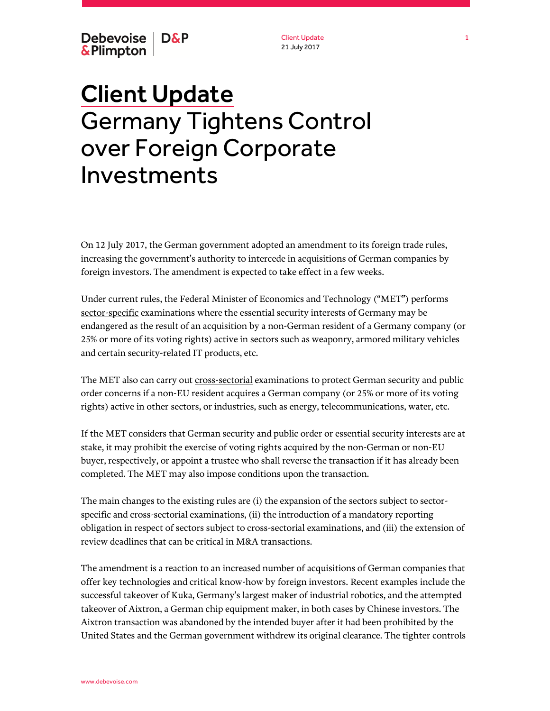Debevoise | D&P & Plimpton

Client Update 21 July 2017

# Client Update Germany Tightens Control over Foreign Corporate Investments

On 12 July 2017, the German government adopted an amendment to its foreign trade rules, increasing the government's authority to intercede in acquisitions of German companies by foreign investors. The amendment is expected to take effect in a few weeks.

Under current rules, the Federal Minister of Economics and Technology ("MET") performs sector-specific examinations where the essential security interests of Germany may be endangered as the result of an acquisition by a non-German resident of a Germany company (or 25% or more of its voting rights) active in sectors such as weaponry, armored military vehicles and certain security-related IT products, etc.

The MET also can carry out cross-sectorial examinations to protect German security and public order concerns if a non-EU resident acquires a German company (or 25% or more of its voting rights) active in other sectors, or industries, such as energy, telecommunications, water, etc.

If the MET considers that German security and public order or essential security interests are at stake, it may prohibit the exercise of voting rights acquired by the non-German or non-EU buyer, respectively, or appoint a trustee who shall reverse the transaction if it has already been completed. The MET may also impose conditions upon the transaction.

The main changes to the existing rules are (i) the expansion of the sectors subject to sectorspecific and cross-sectorial examinations, (ii) the introduction of a mandatory reporting obligation in respect of sectors subject to cross-sectorial examinations, and (iii) the extension of review deadlines that can be critical in M&A transactions.

The amendment is a reaction to an increased number of acquisitions of German companies that offer key technologies and critical know-how by foreign investors. Recent examples include the successful takeover of Kuka, Germany's largest maker of industrial robotics, and the attempted takeover of Aixtron, a German chip equipment maker, in both cases by Chinese investors. The Aixtron transaction was abandoned by the intended buyer after it had been prohibited by the United States and the German government withdrew its original clearance. The tighter controls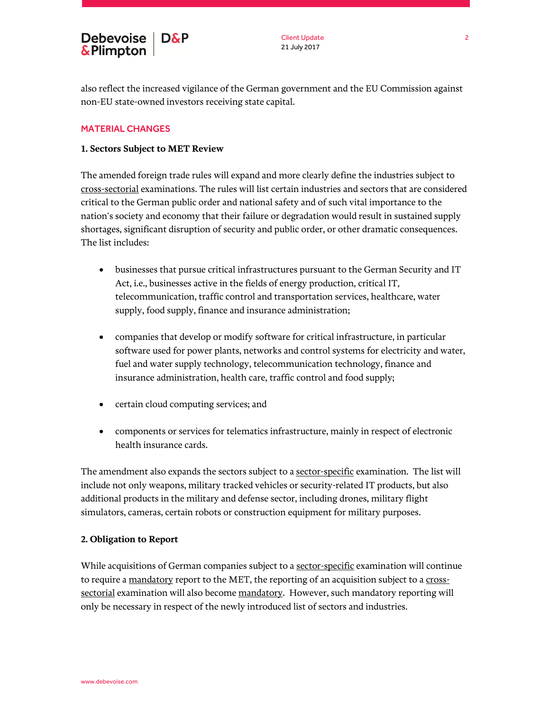also reflect the increased vigilance of the German government and the EU Commission against non-EU state-owned investors receiving state capital.

## MATERIAL CHANGES

### **1. Sectors Subject to MET Review**

The amended foreign trade rules will expand and more clearly define the industries subject to cross-sectorial examinations. The rules will list certain industries and sectors that are considered critical to the German public order and national safety and of such vital importance to the nation's society and economy that their failure or degradation would result in sustained supply shortages, significant disruption of security and public order, or other dramatic consequences. The list includes:

- businesses that pursue critical infrastructures pursuant to the German Security and IT Act, i.e., businesses active in the fields of energy production, critical IT, telecommunication, traffic control and transportation services, healthcare, water supply, food supply, finance and insurance administration;
- companies that develop or modify software for critical infrastructure, in particular software used for power plants, networks and control systems for electricity and water, fuel and water supply technology, telecommunication technology, finance and insurance administration, health care, traffic control and food supply;
- certain cloud computing services; and
- components or services for telematics infrastructure, mainly in respect of electronic health insurance cards.

The amendment also expands the sectors subject to a sector-specific examination. The list will include not only weapons, military tracked vehicles or security-related IT products, but also additional products in the military and defense sector, including drones, military flight simulators, cameras, certain robots or construction equipment for military purposes.

#### **2. Obligation to Report**

While acquisitions of German companies subject to a sector-specific examination will continue to require a mandatory report to the MET, the reporting of an acquisition subject to a crosssectorial examination will also become mandatory. However, such mandatory reporting will only be necessary in respect of the newly introduced list of sectors and industries.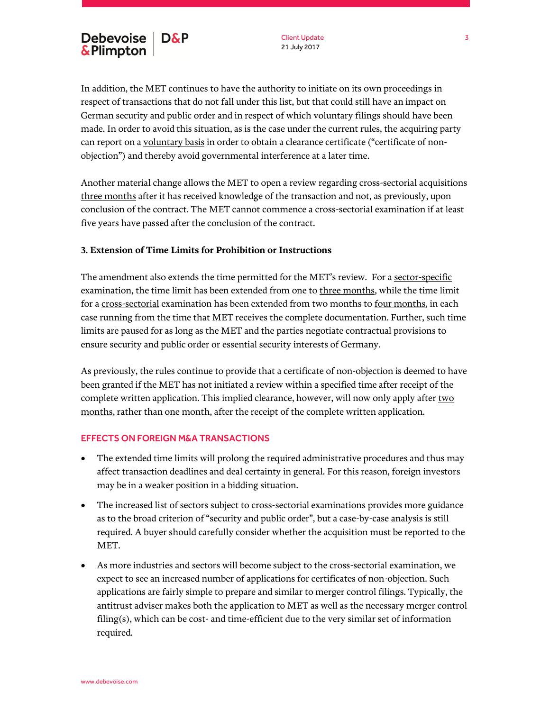Client Update 21 July 2017

In addition, the MET continues to have the authority to initiate on its own proceedings in respect of transactions that do not fall under this list, but that could still have an impact on German security and public order and in respect of which voluntary filings should have been made. In order to avoid this situation, as is the case under the current rules, the acquiring party can report on a voluntary basis in order to obtain a clearance certificate ("certificate of nonobjection") and thereby avoid governmental interference at a later time.

Another material change allows the MET to open a review regarding cross-sectorial acquisitions three months after it has received knowledge of the transaction and not, as previously, upon conclusion of the contract. The MET cannot commence a cross-sectorial examination if at least five years have passed after the conclusion of the contract.

## **3. Extension of Time Limits for Prohibition or Instructions**

The amendment also extends the time permitted for the MET's review. For a sector-specific examination, the time limit has been extended from one to three months, while the time limit for a cross-sectorial examination has been extended from two months to four months, in each case running from the time that MET receives the complete documentation. Further, such time limits are paused for as long as the MET and the parties negotiate contractual provisions to ensure security and public order or essential security interests of Germany.

As previously, the rules continue to provide that a certificate of non-objection is deemed to have been granted if the MET has not initiated a review within a specified time after receipt of the complete written application. This implied clearance, however, will now only apply after two months, rather than one month, after the receipt of the complete written application.

#### EFFECTS ON FOREIGN M&A TRANSACTIONS

- The extended time limits will prolong the required administrative procedures and thus may affect transaction deadlines and deal certainty in general. For this reason, foreign investors may be in a weaker position in a bidding situation.
- The increased list of sectors subject to cross-sectorial examinations provides more guidance as to the broad criterion of "security and public order", but a case-by-case analysis is still required. A buyer should carefully consider whether the acquisition must be reported to the MET.
- As more industries and sectors will become subject to the cross-sectorial examination, we expect to see an increased number of applications for certificates of non-objection. Such applications are fairly simple to prepare and similar to merger control filings. Typically, the antitrust adviser makes both the application to MET as well as the necessary merger control  $\text{filling}(s)$ , which can be cost- and time-efficient due to the very similar set of information required.